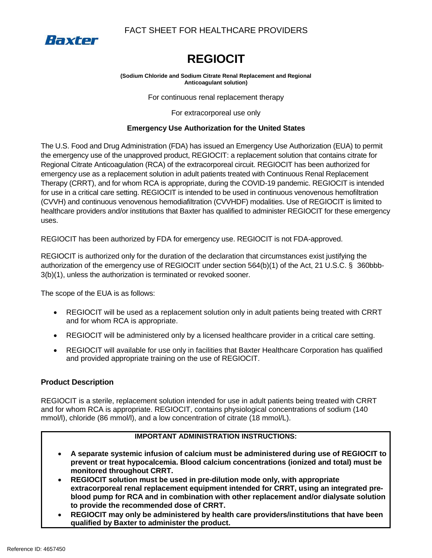

# FACT SHEET FOR HEALTHCARE PROVIDERS

# **REGIOCIT**

#### **(Sodium Chloride and Sodium Citrate Renal Replacement and Regional Anticoagulant solution)**

For continuous renal replacement therapy

For extracorporeal use only

# **Emergency Use Authorization for the United States**

The U.S. Food and Drug Administration (FDA) has issued an Emergency Use Authorization (EUA) to permit the emergency use of the unapproved product, REGIOCIT: a replacement solution that contains citrate for Regional Citrate Anticoagulation (RCA) of the extracorporeal circuit. REGIOCIT has been authorized for emergency use as a replacement solution in adult patients treated with Continuous Renal Replacement Therapy (CRRT), and for whom RCA is appropriate, during the COVID-19 pandemic. REGIOCIT is intended for use in a critical care setting. REGIOCIT is intended to be used in continuous venovenous hemofiltration (CVVH) and continuous venovenous hemodiafiltration (CVVHDF) modalities. Use of REGIOCIT is limited to healthcare providers and/or institutions that Baxter has qualified to administer REGIOCIT for these emergency uses.

REGIOCIT has been authorized by FDA for emergency use. REGIOCIT is not FDA-approved.

REGIOCIT is authorized only for the duration of the declaration that circumstances exist justifying the authorization of the emergency use of REGIOCIT under section 564(b)(1) of the Act, 21 U.S.C. § 360bbb-3(b)(1), unless the authorization is terminated or revoked sooner.

The scope of the EUA is as follows:

- REGIOCIT will be used as a replacement solution only in adult patients being treated with CRRT and for whom RCA is appropriate.
- REGIOCIT will be administered only by a licensed healthcare provider in a critical care setting.
- REGIOCIT will available for use only in facilities that Baxter Healthcare Corporation has qualified and provided appropriate training on the use of REGIOCIT.

# **Product Description**

REGIOCIT is a sterile, replacement solution intended for use in adult patients being treated with CRRT and for whom RCA is appropriate. REGIOCIT, contains physiological concentrations of sodium (140 mmol/l), chloride (86 mmol/l), and a low concentration of citrate (18 mmol/L).

# **IMPORTANT ADMINISTRATION INSTRUCTIONS:**

- **A separate systemic infusion of calcium must be administered during use of REGIOCIT to prevent or treat hypocalcemia. Blood calcium concentrations (ionized and total) must be monitored throughout CRRT.**
- **REGIOCIT solution must be used in pre-dilution mode only, with appropriate extracorporeal renal replacement equipment intended for CRRT, using an integrated preblood pump for RCA and in combination with other replacement and/or dialysate solution to provide the recommended dose of CRRT.**
- **REGIOCIT may only be administered by health care providers/institutions that have been qualified by Baxter to administer the product.**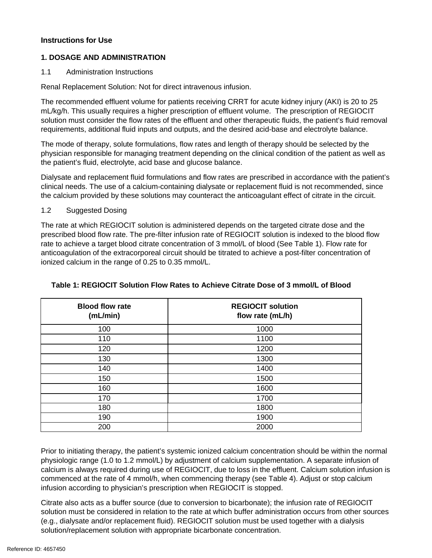#### **Instructions for Use**

#### **1. DOSAGE AND ADMINISTRATION**

1.1 Administration Instructions

Renal Replacement Solution: Not for direct intravenous infusion.

The recommended effluent volume for patients receiving CRRT for acute kidney injury (AKI) is 20 to 25 mL/kg/h. This usually requires a higher prescription of effluent volume. The prescription of REGIOCIT solution must consider the flow rates of the effluent and other therapeutic fluids, the patient's fluid removal requirements, additional fluid inputs and outputs, and the desired acid-base and electrolyte balance.

The mode of therapy, solute formulations, flow rates and length of therapy should be selected by the physician responsible for managing treatment depending on the clinical condition of the patient as well as the patient's fluid, electrolyte, acid base and glucose balance.

Dialysate and replacement fluid formulations and flow rates are prescribed in accordance with the patient's clinical needs. The use of a calcium-containing dialysate or replacement fluid is not recommended, since the calcium provided by these solutions may counteract the anticoagulant effect of citrate in the circuit.

#### 1.2 Suggested Dosing

The rate at which REGIOCIT solution is administered depends on the targeted citrate dose and the prescribed blood flow rate. The pre-filter infusion rate of REGIOCIT solution is indexed to the blood flow rate to achieve a target blood citrate concentration of 3 mmol/L of blood (See Table 1). Flow rate for anticoagulation of the extracorporeal circuit should be titrated to achieve a post-filter concentration of ionized calcium in the range of 0.25 to 0.35 mmol/L.

| <b>Blood flow rate</b><br>(mL/min) | <b>REGIOCIT solution</b><br>flow rate (mL/h) |
|------------------------------------|----------------------------------------------|
| 100                                | 1000                                         |
| 110                                | 1100                                         |
| 120                                | 1200                                         |
| 130                                | 1300                                         |
| 140                                | 1400                                         |
| 150                                | 1500                                         |
| 160                                | 1600                                         |
| 170                                | 1700                                         |
| 180                                | 1800                                         |
| 190                                | 1900                                         |
| 200                                | 2000                                         |

#### **Table 1: REGIOCIT Solution Flow Rates to Achieve Citrate Dose of 3 mmol/L of Blood**

Prior to initiating therapy, the patient's systemic ionized calcium concentration should be within the normal physiologic range (1.0 to 1.2 mmol/L) by adjustment of calcium supplementation. A separate infusion of calcium is always required during use of REGIOCIT, due to loss in the effluent. Calcium solution infusion is commenced at the rate of 4 mmol/h, when commencing therapy (see Table 4). Adjust or stop calcium infusion according to physician's prescription when REGIOCIT is stopped.

Citrate also acts as a buffer source (due to conversion to bicarbonate); the infusion rate of REGIOCIT solution must be considered in relation to the rate at which buffer administration occurs from other sources (e.g., dialysate and/or replacement fluid). REGIOCIT solution must be used together with a dialysis solution/replacement solution with appropriate bicarbonate concentration.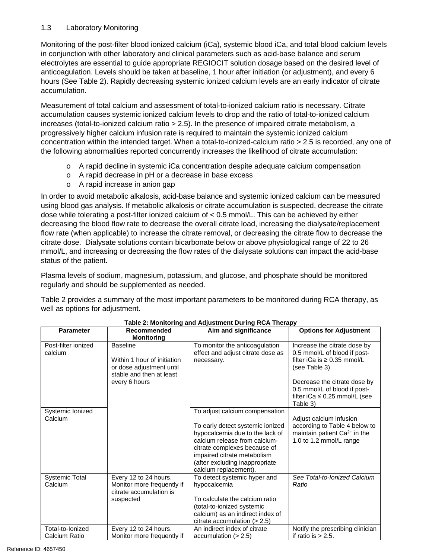# 1.3 Laboratory Monitoring

Monitoring of the post-filter blood ionized calcium (iCa), systemic blood iCa, and total blood calcium levels in conjunction with other laboratory and clinical parameters such as acid-base balance and serum electrolytes are essential to guide appropriate REGIOCIT solution dosage based on the desired level of anticoagulation. Levels should be taken at baseline, 1 hour after initiation (or adjustment), and every 6 hours (See Table 2). Rapidly decreasing systemic ionized calcium levels are an early indicator of citrate accumulation.

Measurement of total calcium and assessment of total-to-ionized calcium ratio is necessary. Citrate accumulation causes systemic ionized calcium levels to drop and the ratio of total-to-ionized calcium increases (total-to-ionized calcium ratio > 2.5). In the presence of impaired citrate metabolism, a progressively higher calcium infusion rate is required to maintain the systemic ionized calcium concentration within the intended target. When a total-to-ionized-calcium ratio > 2.5 is recorded, any one of the following abnormalities reported concurrently increases the likelihood of citrate accumulation:

- o A rapid decline in systemic iCa concentration despite adequate calcium compensation
- o A rapid decrease in pH or a decrease in base excess
- o A rapid increase in anion gap

In order to avoid metabolic alkalosis, acid-base balance and systemic ionized calcium can be measured using blood gas analysis. If metabolic alkalosis or citrate accumulation is suspected, decrease the citrate dose while tolerating a post-filter ionized calcium of < 0.5 mmol/L. This can be achieved by either decreasing the blood flow rate to decrease the overall citrate load, increasing the dialysate/replacement flow rate (when applicable) to increase the citrate removal, or decreasing the citrate flow to decrease the citrate dose. Dialysate solutions contain bicarbonate below or above physiological range of 22 to 26 mmol/L, and increasing or decreasing the flow rates of the dialysate solutions can impact the acid-base status of the patient.

Plasma levels of sodium, magnesium, potassium, and glucose, and phosphate should be monitored regularly and should be supplemented as needed.

Table 2 provides a summary of the most important parameters to be monitored during RCA therapy, as well as options for adjustment.

| <b>Parameter</b>                  | Recommended<br><b>Monitoring</b>                                                                                        | Aim and significance                                                                                                                                                                                                                                             | <b>Options for Adjustment</b>                                                                                                                                                                                                       |
|-----------------------------------|-------------------------------------------------------------------------------------------------------------------------|------------------------------------------------------------------------------------------------------------------------------------------------------------------------------------------------------------------------------------------------------------------|-------------------------------------------------------------------------------------------------------------------------------------------------------------------------------------------------------------------------------------|
| Post-filter ionized<br>calcium    | <b>Baseline</b><br>Within 1 hour of initiation<br>or dose adjustment until<br>stable and then at least<br>every 6 hours | To monitor the anticoagulation<br>effect and adjust citrate dose as<br>necessary.                                                                                                                                                                                | Increase the citrate dose by<br>0.5 mmol/L of blood if post-<br>filter iCa is $\geq 0.35$ mmol/L<br>(see Table 3)<br>Decrease the citrate dose by<br>0.5 mmol/L of blood if post-<br>filter iCa $\leq$ 0.25 mmol/L (see<br>Table 3) |
| Systemic Ionized<br>Calcium       |                                                                                                                         | To adjust calcium compensation<br>To early detect systemic ionized<br>hypocalcemia due to the lack of<br>calcium release from calcium-<br>citrate complexes because of<br>impaired citrate metabolism<br>(after excluding inappropriate<br>calcium replacement). | Adjust calcium infusion<br>according to Table 4 below to<br>maintain patient Ca <sup>2+</sup> in the<br>1.0 to 1.2 mmol/L range                                                                                                     |
| <b>Systemic Total</b><br>Calcium  | Every 12 to 24 hours.<br>Monitor more frequently if<br>citrate accumulation is<br>suspected                             | To detect systemic hyper and<br>hypocalcemia<br>To calculate the calcium ratio<br>(total-to-ionized systemic<br>calcium) as an indirect index of<br>citrate accumulation $(> 2.5)$                                                                               | See Total-to-Ionized Calcium<br>Ratio                                                                                                                                                                                               |
| Total-to-Ionized<br>Calcium Ratio | Every 12 to 24 hours.<br>Monitor more frequently if                                                                     | An indirect index of citrate<br>accumulation $(> 2.5)$                                                                                                                                                                                                           | Notify the prescribing clinician<br>if ratio is $> 2.5$ .                                                                                                                                                                           |

#### **Table 2: Monitoring and Adjustment During RCA Therapy**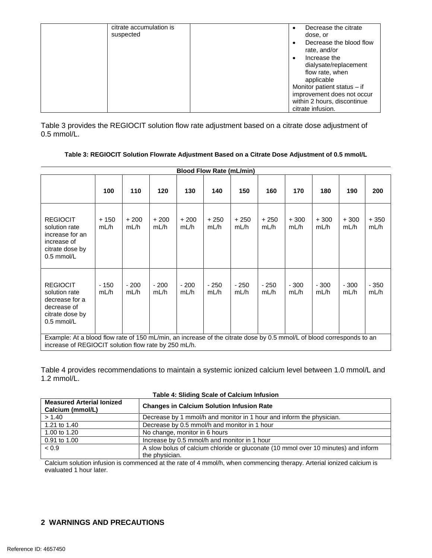| citrate accumulation is | Decrease the citrate<br>٠                            |
|-------------------------|------------------------------------------------------|
| suspected               | dose, or                                             |
|                         | Decrease the blood flow<br>$\bullet$<br>rate, and/or |
|                         | Increase the<br>$\bullet$                            |
|                         | dialysate/replacement                                |
|                         | flow rate, when                                      |
|                         | applicable                                           |
|                         | Monitor patient status $-$ if                        |
|                         | improvement does not occur                           |
|                         | within 2 hours, discontinue                          |
|                         | citrate infusion.                                    |

Table 3 provides the REGIOCIT solution flow rate adjustment based on a citrate dose adjustment of 0.5 mmol/L.

| <b>Blood Flow Rate (mL/min)</b>                                                                                                                                               |                |                |                |                |                |                |                |                |                |                |                |
|-------------------------------------------------------------------------------------------------------------------------------------------------------------------------------|----------------|----------------|----------------|----------------|----------------|----------------|----------------|----------------|----------------|----------------|----------------|
|                                                                                                                                                                               | 100            | 110            | 120            | 130            | 140            | 150            | 160            | 170            | 180            | 190            | 200            |
| <b>REGIOCIT</b><br>solution rate<br>increase for an<br>increase of<br>citrate dose by<br>$0.5$ mmol/L                                                                         | $+150$<br>mL/h | $+200$<br>mL/h | $+200$<br>mL/h | $+200$<br>mL/h | $+250$<br>mL/h | $+250$<br>mL/h | $+250$<br>mL/h | $+300$<br>mL/h | $+300$<br>mL/h | $+300$<br>mL/h | $+350$<br>mL/h |
| <b>REGIOCIT</b><br>solution rate<br>decrease for a<br>decrease of<br>citrate dose by<br>$0.5$ mmol/L                                                                          | $-150$<br>mL/h | $-200$<br>mL/h | $-200$<br>mL/h | $-200$<br>mL/h | $-250$<br>mL/h | $-250$<br>mL/h | $-250$<br>mL/h | $-300$<br>mL/h | $-300$<br>mL/h | $-300$<br>mL/h | $-350$<br>mL/h |
| Example: At a blood flow rate of 150 mL/min, an increase of the citrate dose by 0.5 mmol/L of blood corresponds to an<br>increase of REGIOCIT solution flow rate by 250 mL/h. |                |                |                |                |                |                |                |                |                |                |                |

Table 4 provides recommendations to maintain a systemic ionized calcium level between 1.0 mmol/L and 1.2 mmol/L.

| <b>Measured Arterial lonized</b><br>Calcium (mmol/L) | <b>Changes in Calcium Solution Infusion Rate</b>                                   |  |  |  |  |
|------------------------------------------------------|------------------------------------------------------------------------------------|--|--|--|--|
| > 1.40                                               | Decrease by 1 mmol/h and monitor in 1 hour and inform the physician.               |  |  |  |  |
| 1.21 to 1.40                                         | Decrease by 0.5 mmol/h and monitor in 1 hour                                       |  |  |  |  |
| 1.00 to 1.20                                         | No change, monitor in 6 hours                                                      |  |  |  |  |
| 0.91 to 1.00                                         | Increase by 0.5 mmol/h and monitor in 1 hour                                       |  |  |  |  |
| < 0.9                                                | A slow bolus of calcium chloride or gluconate (10 mmol over 10 minutes) and inform |  |  |  |  |
|                                                      | the physician.                                                                     |  |  |  |  |

Calcium solution infusion is commenced at the rate of 4 mmol/h, when commencing therapy. Arterial ionized calcium is evaluated 1 hour later.

# **2 WARNINGS AND PRECAUTIONS**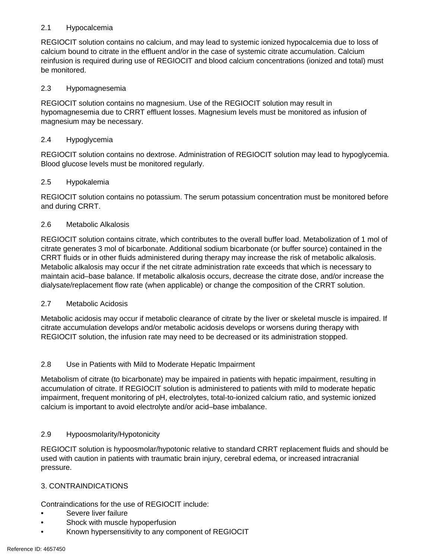# 2.1 Hypocalcemia

REGIOCIT solution contains no calcium, and may lead to systemic ionized hypocalcemia due to loss of calcium bound to citrate in the effluent and/or in the case of systemic citrate accumulation. Calcium reinfusion is required during use of REGIOCIT and blood calcium concentrations (ionized and total) must be monitored.

# 2.3 Hypomagnesemia

REGIOCIT solution contains no magnesium. Use of the REGIOCIT solution may result in hypomagnesemia due to CRRT effluent losses. Magnesium levels must be monitored as infusion of magnesium may be necessary.

#### 2.4 Hypoglycemia

REGIOCIT solution contains no dextrose. Administration of REGIOCIT solution may lead to hypoglycemia. Blood glucose levels must be monitored regularly.

#### 2.5 Hypokalemia

REGIOCIT solution contains no potassium. The serum potassium concentration must be monitored before and during CRRT.

#### 2.6 Metabolic Alkalosis

REGIOCIT solution contains citrate, which contributes to the overall buffer load. Metabolization of 1 mol of citrate generates 3 mol of bicarbonate. Additional sodium bicarbonate (or buffer source) contained in the CRRT fluids or in other fluids administered during therapy may increase the risk of metabolic alkalosis. Metabolic alkalosis may occur if the net citrate administration rate exceeds that which is necessary to maintain acid–base balance. If metabolic alkalosis occurs, decrease the citrate dose, and/or increase the dialysate/replacement flow rate (when applicable) or change the composition of the CRRT solution.

#### 2.7 Metabolic Acidosis

Metabolic acidosis may occur if metabolic clearance of citrate by the liver or skeletal muscle is impaired. If citrate accumulation develops and/or metabolic acidosis develops or worsens during therapy with REGIOCIT solution, the infusion rate may need to be decreased or its administration stopped.

# 2.8 Use in Patients with Mild to Moderate Hepatic Impairment

Metabolism of citrate (to bicarbonate) may be impaired in patients with hepatic impairment, resulting in accumulation of citrate. If REGIOCIT solution is administered to patients with mild to moderate hepatic impairment, frequent monitoring of pH, electrolytes, total-to-ionized calcium ratio, and systemic ionized calcium is important to avoid electrolyte and/or acid–base imbalance.

# 2.9 Hypoosmolarity/Hypotonicity

REGIOCIT solution is hypoosmolar/hypotonic relative to standard CRRT replacement fluids and should be used with caution in patients with traumatic brain injury, cerebral edema, or increased intracranial pressure.

#### 3. CONTRAINDICATIONS

Contraindications for the use of REGIOCIT include:

- Severe liver failure
- Shock with muscle hypoperfusion
- Known hypersensitivity to any component of REGIOCIT